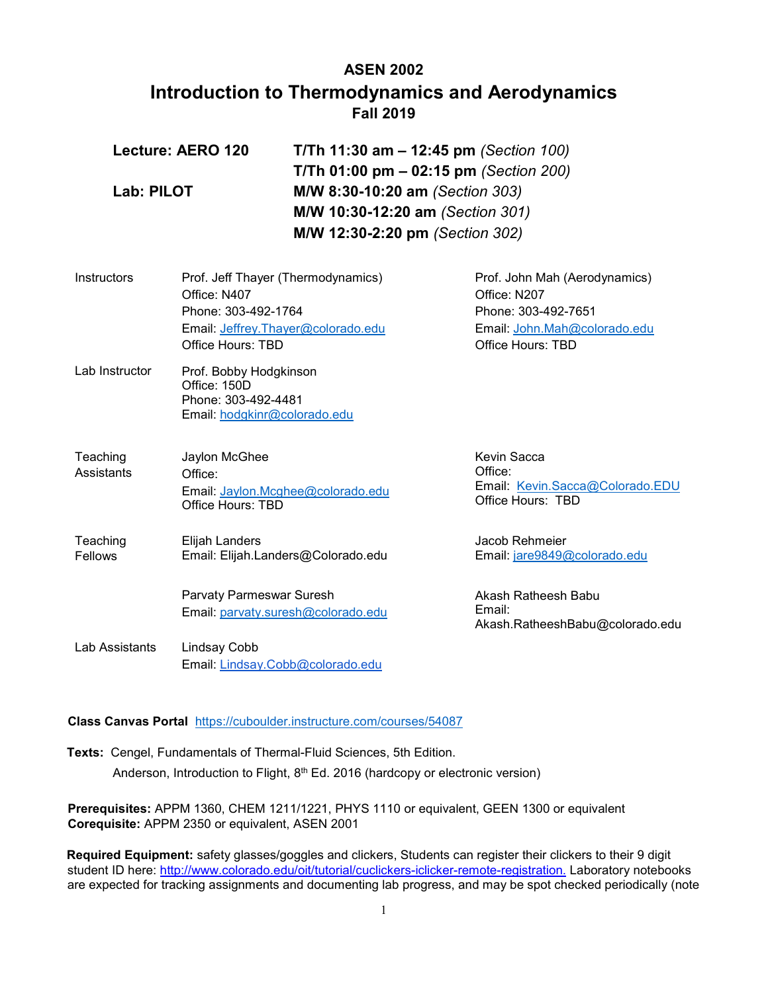# **ASEN 2002 Introduction to Thermodynamics and Aerodynamics Fall 2019**

| Lecture: AERO 120 | T/Th 11:30 am $-$ 12:45 pm (Section 100) |  |
|-------------------|------------------------------------------|--|
|                   | T/Th 01:00 pm $-$ 02:15 pm (Section 200) |  |
| Lab: PILOT        | M/W 8:30-10:20 am (Section 303)          |  |
|                   | M/W 10:30-12:20 am (Section 301)         |  |
|                   | M/W 12:30-2:20 pm (Section 302)          |  |

| Instructors    | Prof. Jeff Thayer (Thermodynamics)<br>Office: N407            | Prof. John Mah (Aerodynamics)<br>Office: N207        |
|----------------|---------------------------------------------------------------|------------------------------------------------------|
|                | Phone: 303-492-1764                                           | Phone: 303-492-7651                                  |
|                | Email: Jeffrey. Thayer@colorado.edu                           | Email: John.Mah@colorado.edu                         |
|                | Office Hours: TBD                                             | Office Hours: TBD                                    |
| Lab Instructor | Prof. Bobby Hodgkinson<br>Office: 150D<br>Phone: 303-492-4481 |                                                      |
|                | Email: hodgkinr@colorado.edu                                  |                                                      |
| Teaching       | Jaylon McGhee                                                 | Kevin Sacca                                          |
| Assistants     | Office:                                                       | Office:                                              |
|                | Email: Jaylon.Mcghee@colorado.edu<br>Office Hours: TBD        | Email: Kevin.Sacca@Colorado.EDU<br>Office Hours: TBD |
| Teaching       | Elijah Landers                                                | Jacob Rehmeier                                       |
| Fellows        | Email: Elijah.Landers@Colorado.edu                            | Email: jare9849@colorado.edu                         |
|                | Parvaty Parmeswar Suresh                                      | Akash Ratheesh Babu                                  |
|                | Email: parvaty.suresh@colorado.edu                            | Email:<br>Akash.RatheeshBabu@colorado.edu            |
| Lab Assistants | Lindsay Cobb                                                  |                                                      |
|                | Email: Lindsay.Cobb@colorado.edu                              |                                                      |

#### **Class Canvas Portal** <https://cuboulder.instructure.com/courses/54087>

**Texts:** Cengel, Fundamentals of Thermal-Fluid Sciences, 5th Edition. Anderson, Introduction to Flight, 8<sup>th</sup> Ed. 2016 (hardcopy or electronic version)

**Prerequisites:** APPM 1360, CHEM 1211/1221, PHYS 1110 or equivalent, GEEN 1300 or equivalent **Corequisite:** APPM 2350 or equivalent, ASEN 2001

**Required Equipment:** safety glasses/goggles and clickers, Students can register their clickers to their 9 digit student ID here: [http://www.colorado.edu/oit/tutorial/cuclickers-iclicker-remote-registration.](http://www.colorado.edu/oit/tutorial/cuclickers-iclicker-remote-registration) Laboratory notebooks are expected for tracking assignments and documenting lab progress, and may be spot checked periodically (note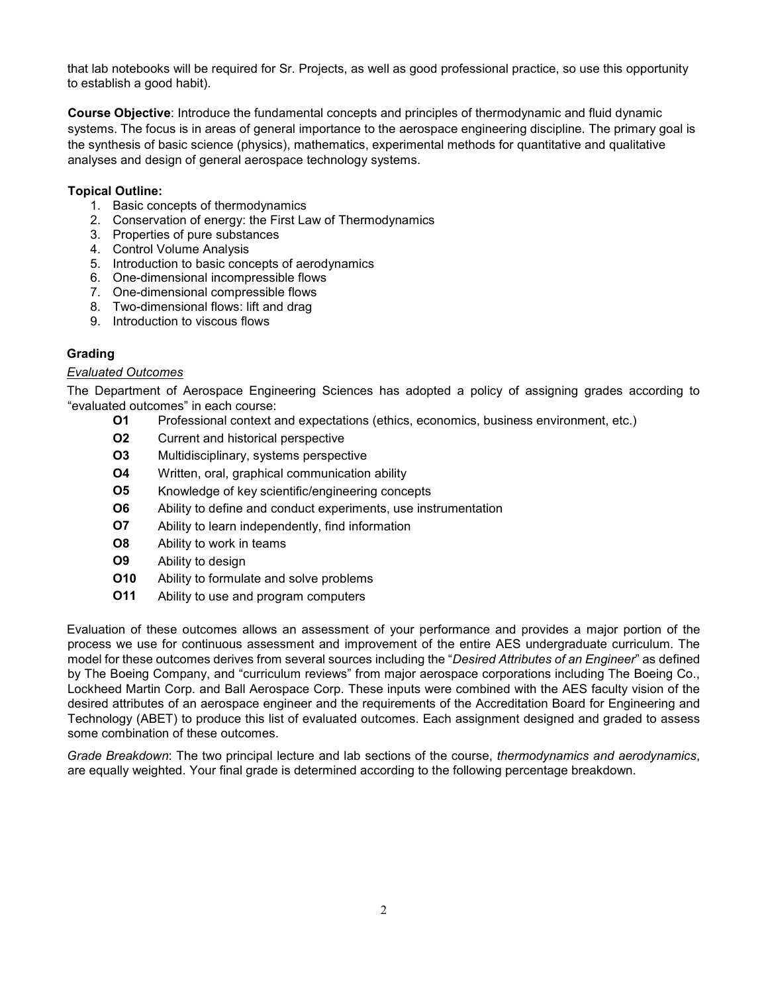that lab notebooks will be required for Sr. Projects, as well as good professional practice, so use this opportunity to establish a good habit).

**Course Objective**: Introduce the fundamental concepts and principles of thermodynamic and fluid dynamic systems. The focus is in areas of general importance to the aerospace engineering discipline. The primary goal is the synthesis of basic science (physics), mathematics, experimental methods for quantitative and qualitative analyses and design of general aerospace technology systems.

## **Topical Outline:**

- 1. Basic concepts of thermodynamics
- 2. Conservation of energy: the First Law of Thermodynamics
- 3. Properties of pure substances
- 4. Control Volume Analysis
- 5. Introduction to basic concepts of aerodynamics
- 6. One-dimensional incompressible flows
- 7. One-dimensional compressible flows
- 8. Two-dimensional flows: lift and drag
- 9. Introduction to viscous flows

# **Grading**

## *Evaluated Outcomes*

The Department of Aerospace Engineering Sciences has adopted a policy of assigning grades according to "evaluated outcomes" in each course:

- **O1** Professional context and expectations (ethics, economics, business environment, etc.)
- **O2** Current and historical perspective
- **O3** Multidisciplinary, systems perspective
- **O4** Written, oral, graphical communication ability
- **O5** Knowledge of key scientific/engineering concepts
- **O6** Ability to define and conduct experiments, use instrumentation
- **O7** Ability to learn independently, find information
- **O8** Ability to work in teams
- **O9** Ability to design
- **O10** Ability to formulate and solve problems
- **O11** Ability to use and program computers

Evaluation of these outcomes allows an assessment of your performance and provides a major portion of the process we use for continuous assessment and improvement of the entire AES undergraduate curriculum. The model for these outcomes derives from several sources including the "*Desired Attributes of an Engineer*" as defined by The Boeing Company, and "curriculum reviews" from major aerospace corporations including The Boeing Co., Lockheed Martin Corp. and Ball Aerospace Corp. These inputs were combined with the AES faculty vision of the desired attributes of an aerospace engineer and the requirements of the Accreditation Board for Engineering and Technology (ABET) to produce this list of evaluated outcomes. Each assignment designed and graded to assess some combination of these outcomes.

*Grade Breakdown*: The two principal lecture and lab sections of the course, *thermodynamics and aerodynamics*, are equally weighted. Your final grade is determined according to the following percentage breakdown.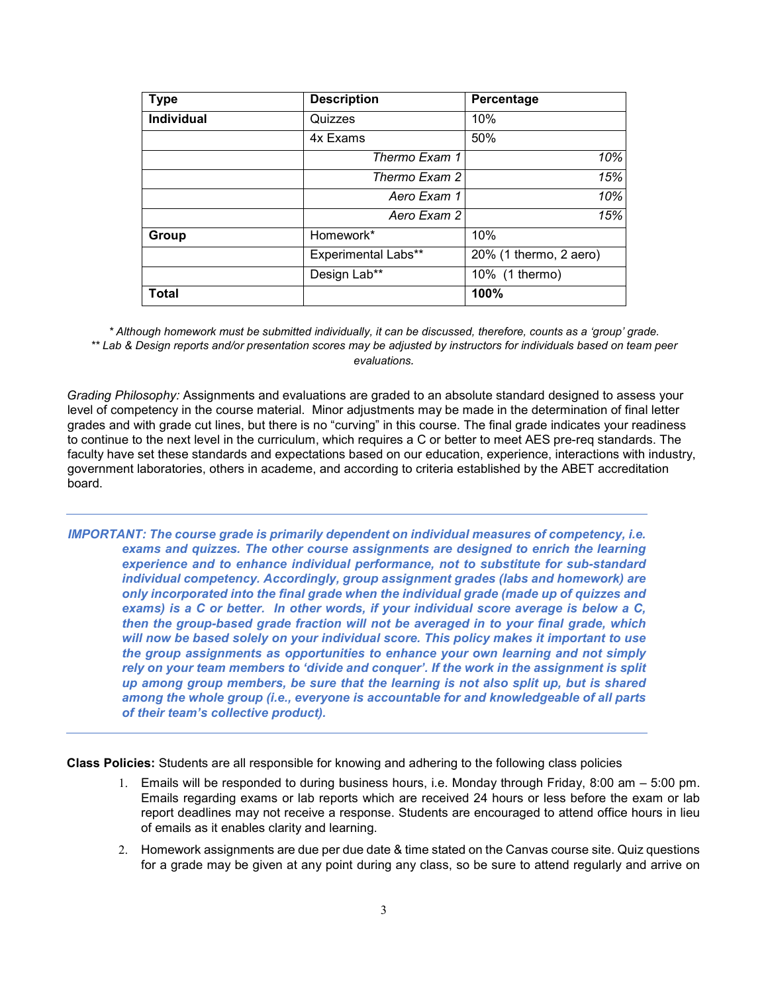| <b>Type</b>       | <b>Description</b>         | Percentage             |
|-------------------|----------------------------|------------------------|
| <b>Individual</b> | Quizzes                    | 10%                    |
|                   | 4x Exams                   | 50%                    |
|                   | Thermo Exam 1              | 10%                    |
|                   | Thermo Exam 2              | 15%                    |
|                   | Aero Exam 1                | 10%                    |
|                   | Aero Exam 2                | 15%                    |
| Group             | Homework*                  | 10%                    |
|                   | <b>Experimental Labs**</b> | 20% (1 thermo, 2 aero) |
|                   | Design Lab**               | 10% (1 thermo)         |
| <b>Total</b>      |                            | 100%                   |

*\* Although homework must be submitted individually, it can be discussed, therefore, counts as a 'group' grade. \*\* Lab & Design reports and/or presentation scores may be adjusted by instructors for individuals based on team peer evaluations.*

*Grading Philosophy:* Assignments and evaluations are graded to an absolute standard designed to assess your level of competency in the course material. Minor adjustments may be made in the determination of final letter grades and with grade cut lines, but there is no "curving" in this course. The final grade indicates your readiness to continue to the next level in the curriculum, which requires a C or better to meet AES pre-req standards. The faculty have set these standards and expectations based on our education, experience, interactions with industry, government laboratories, others in academe, and according to criteria established by the ABET accreditation board.

*IMPORTANT: The course grade is primarily dependent on individual measures of competency, i.e. exams and quizzes. The other course assignments are designed to enrich the learning experience and to enhance individual performance, not to substitute for sub-standard individual competency. Accordingly, group assignment grades (labs and homework) are only incorporated into the final grade when the individual grade (made up of quizzes and exams) is a C or better. In other words, if your individual score average is below a C, then the group-based grade fraction will not be averaged in to your final grade, which will now be based solely on your individual score. This policy makes it important to use the group assignments as opportunities to enhance your own learning and not simply rely on your team members to 'divide and conquer'. If the work in the assignment is split up among group members, be sure that the learning is not also split up, but is shared among the whole group (i.e., everyone is accountable for and knowledgeable of all parts of their team's collective product).* 

**Class Policies:** Students are all responsible for knowing and adhering to the following class policies

- 1. Emails will be responded to during business hours, i.e. Monday through Friday, 8:00 am 5:00 pm. Emails regarding exams or lab reports which are received 24 hours or less before the exam or lab report deadlines may not receive a response. Students are encouraged to attend office hours in lieu of emails as it enables clarity and learning.
- 2. Homework assignments are due per due date & time stated on the Canvas course site. Quiz questions for a grade may be given at any point during any class, so be sure to attend regularly and arrive on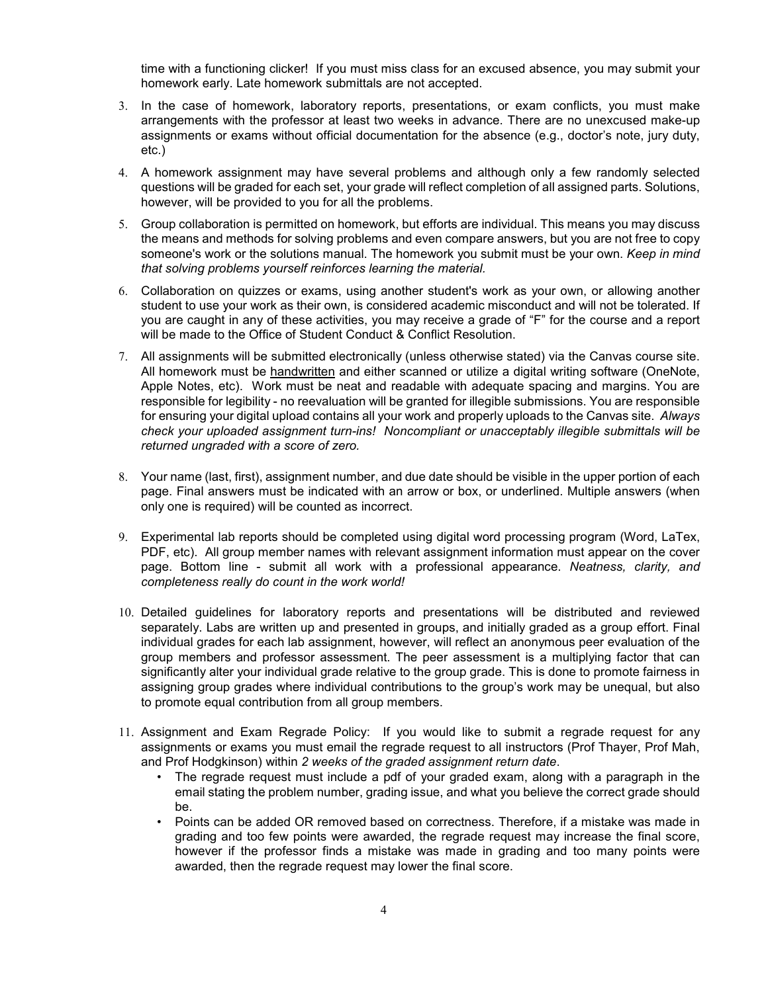time with a functioning clicker! If you must miss class for an excused absence, you may submit your homework early. Late homework submittals are not accepted.

- 3. In the case of homework, laboratory reports, presentations, or exam conflicts, you must make arrangements with the professor at least two weeks in advance. There are no unexcused make-up assignments or exams without official documentation for the absence (e.g., doctor's note, jury duty, etc.)
- 4. A homework assignment may have several problems and although only a few randomly selected questions will be graded for each set, your grade will reflect completion of all assigned parts. Solutions, however, will be provided to you for all the problems.
- 5. Group collaboration is permitted on homework, but efforts are individual. This means you may discuss the means and methods for solving problems and even compare answers, but you are not free to copy someone's work or the solutions manual. The homework you submit must be your own. *Keep in mind that solving problems yourself reinforces learning the material.*
- 6. Collaboration on quizzes or exams, using another student's work as your own, or allowing another student to use your work as their own, is considered academic misconduct and will not be tolerated. If you are caught in any of these activities, you may receive a grade of "F" for the course and a report will be made to the Office of Student Conduct & Conflict Resolution.
- 7. All assignments will be submitted electronically (unless otherwise stated) via the Canvas course site. All homework must be handwritten and either scanned or utilize a digital writing software (OneNote, Apple Notes, etc). Work must be neat and readable with adequate spacing and margins. You are responsible for legibility - no reevaluation will be granted for illegible submissions. You are responsible for ensuring your digital upload contains all your work and properly uploads to the Canvas site. *Always check your uploaded assignment turn-ins! Noncompliant or unacceptably illegible submittals will be returned ungraded with a score of zero.*
- 8. Your name (last, first), assignment number, and due date should be visible in the upper portion of each page. Final answers must be indicated with an arrow or box, or underlined. Multiple answers (when only one is required) will be counted as incorrect.
- 9. Experimental lab reports should be completed using digital word processing program (Word, LaTex, PDF, etc). All group member names with relevant assignment information must appear on the cover page. Bottom line - submit all work with a professional appearance. *Neatness, clarity, and completeness really do count in the work world!*
- 10. Detailed guidelines for laboratory reports and presentations will be distributed and reviewed separately. Labs are written up and presented in groups, and initially graded as a group effort. Final individual grades for each lab assignment, however, will reflect an anonymous peer evaluation of the group members and professor assessment. The peer assessment is a multiplying factor that can significantly alter your individual grade relative to the group grade. This is done to promote fairness in assigning group grades where individual contributions to the group's work may be unequal, but also to promote equal contribution from all group members.
- 11. Assignment and Exam Regrade Policy: If you would like to submit a regrade request for any assignments or exams you must email the regrade request to all instructors (Prof Thayer, Prof Mah, and Prof Hodgkinson) within *2 weeks of the graded assignment return date*.
	- The regrade request must include a pdf of your graded exam, along with a paragraph in the email stating the problem number, grading issue, and what you believe the correct grade should be.
	- Points can be added OR removed based on correctness. Therefore, if a mistake was made in grading and too few points were awarded, the regrade request may increase the final score, however if the professor finds a mistake was made in grading and too many points were awarded, then the regrade request may lower the final score.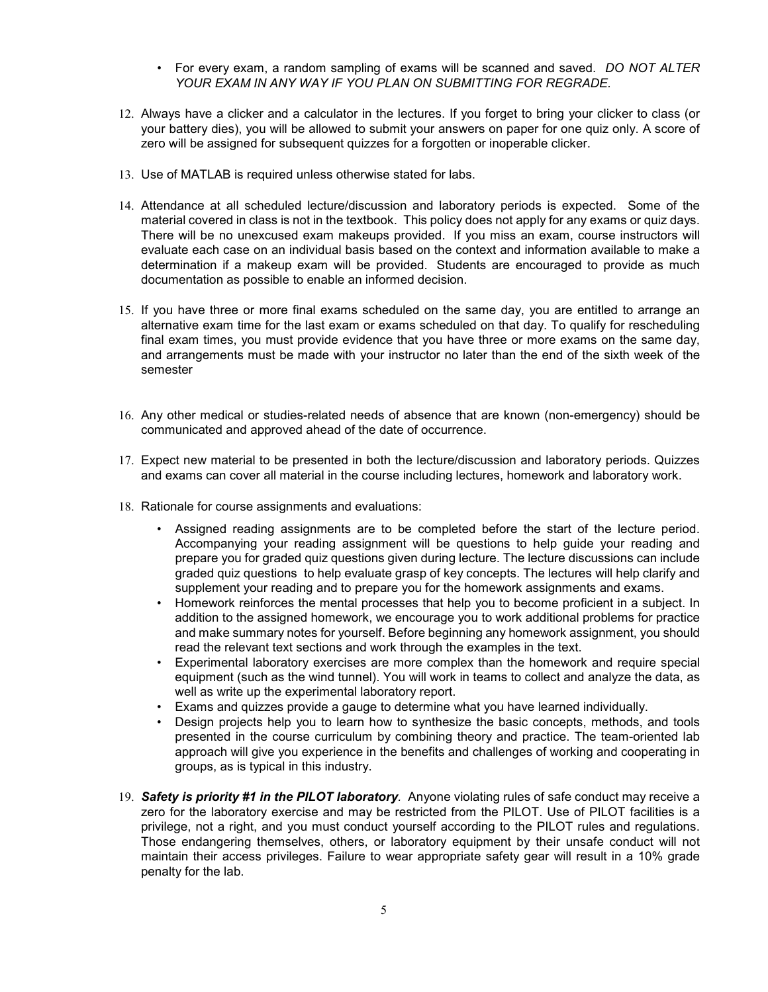- For every exam, a random sampling of exams will be scanned and saved. *DO NOT ALTER YOUR EXAM IN ANY WAY IF YOU PLAN ON SUBMITTING FOR REGRADE.*
- 12. Always have a clicker and a calculator in the lectures. If you forget to bring your clicker to class (or your battery dies), you will be allowed to submit your answers on paper for one quiz only. A score of zero will be assigned for subsequent quizzes for a forgotten or inoperable clicker.
- 13. Use of MATLAB is required unless otherwise stated for labs.
- 14. Attendance at all scheduled lecture/discussion and laboratory periods is expected. Some of the material covered in class is not in the textbook. This policy does not apply for any exams or quiz days. There will be no unexcused exam makeups provided. If you miss an exam, course instructors will evaluate each case on an individual basis based on the context and information available to make a determination if a makeup exam will be provided. Students are encouraged to provide as much documentation as possible to enable an informed decision.
- 15. If you have three or more final exams scheduled on the same day, you are entitled to arrange an alternative exam time for the last exam or exams scheduled on that day. To qualify for rescheduling final exam times, you must provide evidence that you have three or more exams on the same day, and arrangements must be made with your instructor no later than the end of the sixth week of the semester
- 16. Any other medical or studies-related needs of absence that are known (non-emergency) should be communicated and approved ahead of the date of occurrence.
- 17. Expect new material to be presented in both the lecture/discussion and laboratory periods. Quizzes and exams can cover all material in the course including lectures, homework and laboratory work.
- 18. Rationale for course assignments and evaluations:
	- Assigned reading assignments are to be completed before the start of the lecture period. Accompanying your reading assignment will be questions to help guide your reading and prepare you for graded quiz questions given during lecture. The lecture discussions can include graded quiz questions to help evaluate grasp of key concepts. The lectures will help clarify and supplement your reading and to prepare you for the homework assignments and exams.
	- Homework reinforces the mental processes that help you to become proficient in a subject. In addition to the assigned homework, we encourage you to work additional problems for practice and make summary notes for yourself. Before beginning any homework assignment, you should read the relevant text sections and work through the examples in the text.
	- Experimental laboratory exercises are more complex than the homework and require special equipment (such as the wind tunnel). You will work in teams to collect and analyze the data, as well as write up the experimental laboratory report.
	- Exams and quizzes provide a gauge to determine what you have learned individually.
	- Design projects help you to learn how to synthesize the basic concepts, methods, and tools presented in the course curriculum by combining theory and practice. The team-oriented lab approach will give you experience in the benefits and challenges of working and cooperating in groups, as is typical in this industry.
- 19. *Safety is priority #1 in the PILOT laboratory.* Anyone violating rules of safe conduct may receive a zero for the laboratory exercise and may be restricted from the PILOT. Use of PILOT facilities is a privilege, not a right, and you must conduct yourself according to the PILOT rules and regulations. Those endangering themselves, others, or laboratory equipment by their unsafe conduct will not maintain their access privileges. Failure to wear appropriate safety gear will result in a 10% grade penalty for the lab.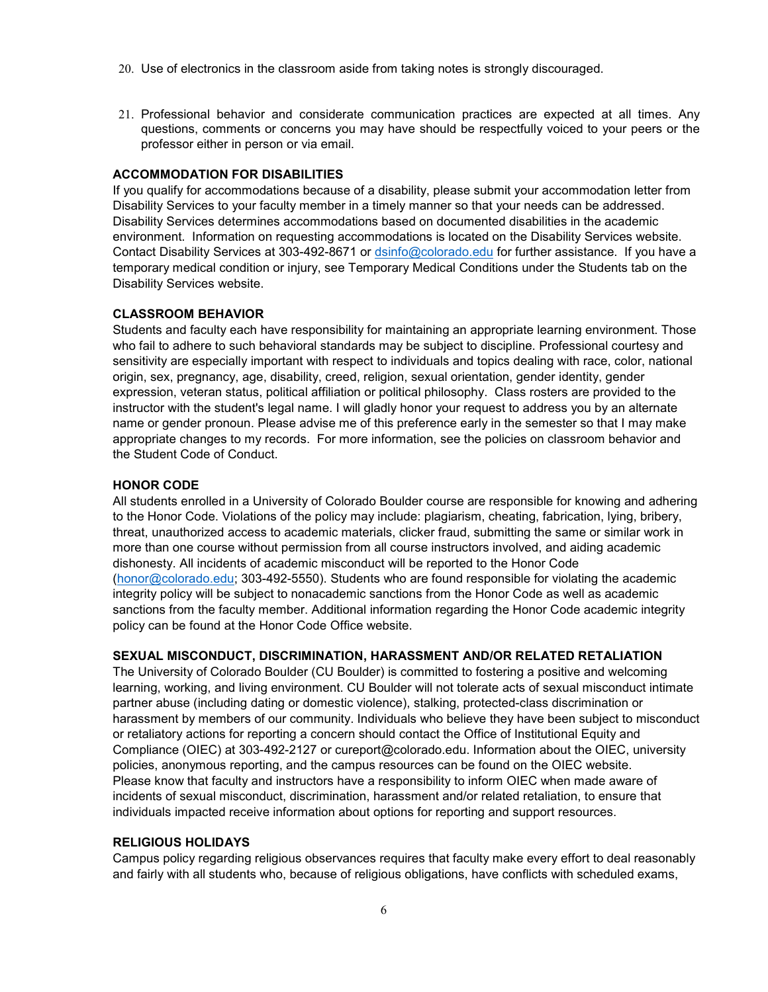- 20. Use of electronics in the classroom aside from taking notes is strongly discouraged.
- 21. Professional behavior and considerate communication practices are expected at all times. Any questions, comments or concerns you may have should be respectfully voiced to your peers or the professor either in person or via email.

### **ACCOMMODATION FOR DISABILITIES**

If you qualify for accommodations because of a disability, please submit your accommodation letter from Disability Services to your faculty member in a timely manner so that your needs can be addressed. Disability Services determines accommodations based on documented disabilities in the academic environment. Information on requesting accommodations is located on the Disability Services website. Contact Disability Services at 303-492-8671 or [dsinfo@colorado.edu](mailto:dsinfo@colorado.edu) for further assistance. If you have a temporary medical condition or injury, see Temporary Medical Conditions under the Students tab on the Disability Services website.

## **CLASSROOM BEHAVIOR**

Students and faculty each have responsibility for maintaining an appropriate learning environment. Those who fail to adhere to such behavioral standards may be subject to discipline. Professional courtesy and sensitivity are especially important with respect to individuals and topics dealing with race, color, national origin, sex, pregnancy, age, disability, creed, religion, sexual orientation, gender identity, gender expression, veteran status, political affiliation or political philosophy. Class rosters are provided to the instructor with the student's legal name. I will gladly honor your request to address you by an alternate name or gender pronoun. Please advise me of this preference early in the semester so that I may make appropriate changes to my records. For more information, see the policies on classroom behavior and the Student Code of Conduct.

### **HONOR CODE**

All students enrolled in a University of Colorado Boulder course are responsible for knowing and adhering to the Honor Code. Violations of the policy may include: plagiarism, cheating, fabrication, lying, bribery, threat, unauthorized access to academic materials, clicker fraud, submitting the same or similar work in more than one course without permission from all course instructors involved, and aiding academic dishonesty. All incidents of academic misconduct will be reported to the Honor Code [\(honor@colorado.edu;](mailto:honor@colorado.edu) 303-492-5550). Students who are found responsible for violating the academic integrity policy will be subject to nonacademic sanctions from the Honor Code as well as academic sanctions from the faculty member. Additional information regarding the Honor Code academic integrity policy can be found at the Honor Code Office website.

### **SEXUAL MISCONDUCT, DISCRIMINATION, HARASSMENT AND/OR RELATED RETALIATION**

The University of Colorado Boulder (CU Boulder) is committed to fostering a positive and welcoming learning, working, and living environment. CU Boulder will not tolerate acts of sexual misconduct intimate partner abuse (including dating or domestic violence), stalking, protected-class discrimination or harassment by members of our community. Individuals who believe they have been subject to misconduct or retaliatory actions for reporting a concern should contact the Office of Institutional Equity and Compliance (OIEC) at 303-492-2127 or cureport@colorado.edu. Information about the OIEC, university policies, anonymous reporting, and the campus resources can be found on the OIEC website. Please know that faculty and instructors have a responsibility to inform OIEC when made aware of incidents of sexual misconduct, discrimination, harassment and/or related retaliation, to ensure that individuals impacted receive information about options for reporting and support resources.

#### **RELIGIOUS HOLIDAYS**

Campus policy regarding religious observances requires that faculty make every effort to deal reasonably and fairly with all students who, because of religious obligations, have conflicts with scheduled exams,